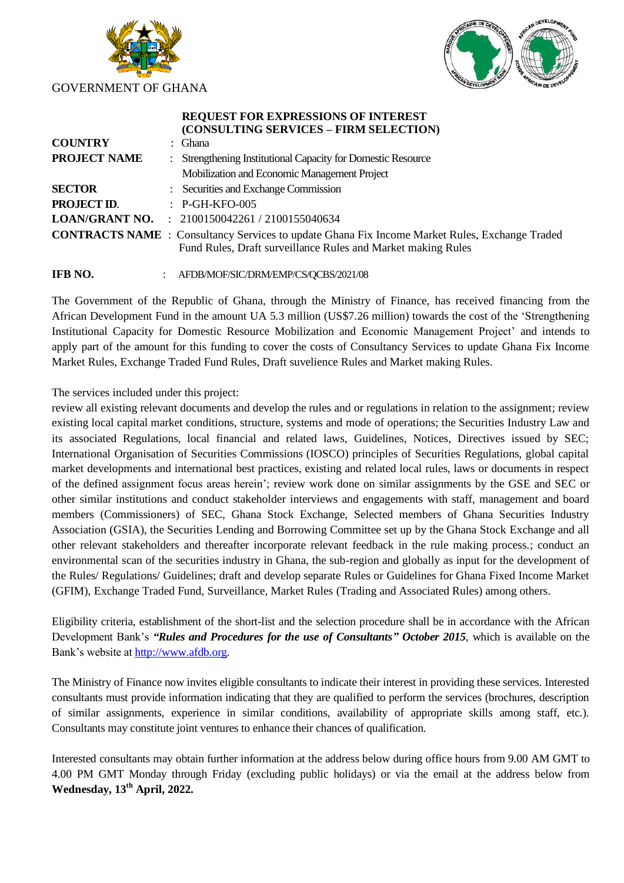



## **REQUEST FOR EXPRESSIONS OF INTEREST (CONSULTING SERVICES – FIRM SELECTION) COUNTRY** :Ghana **PROJECT NAME** :Strengthening Institutional Capacity for Domestic Resource Mobilization and Economic Management Project **SECTOR** : Securities and Exchange Commission **PROJECT ID.** P-GH-KFO-005 **LOAN/GRANT NO.** :2100150042261 / 2100155040634 **CONTRACTS NAME** : Consultancy Services to update Ghana Fix Income Market Rules, Exchange Traded Fund Rules, Draft surveillance Rules and Market making Rules

## **IFB NO.** :AFDB/MOF/SIC/DRM/EMP/CS/QCBS/2021/08

The Government of the Republic of Ghana, through the Ministry of Finance, has received financing from the African Development Fund in the amount UA 5.3 million (US\$7.26 million) towards the cost of the 'Strengthening Institutional Capacity for Domestic Resource Mobilization and Economic Management Project' and intends to apply part of the amount for this funding to cover the costs of Consultancy Services to update Ghana Fix Income Market Rules, Exchange Traded Fund Rules, Draft suvelience Rules and Market making Rules.

The services included under this project:

review all existing relevant documents and develop the rules and or regulations in relation to the assignment; review existing local capital market conditions, structure, systems and mode of operations; the Securities Industry Law and its associated Regulations, local financial and related laws, Guidelines, Notices, Directives issued by SEC; International Organisation of Securities Commissions (IOSCO) principles of Securities Regulations, global capital market developments and international best practices, existing and related local rules, laws or documents in respect of the defined assignment focus areas herein'; review work done on similar assignments by the GSE and SEC or other similar institutions and conduct stakeholder interviews and engagements with staff, management and board members (Commissioners) of SEC, Ghana Stock Exchange, Selected members of Ghana Securities Industry Association (GSIA), the Securities Lending and Borrowing Committee set up by the Ghana Stock Exchange and all other relevant stakeholders and thereafter incorporate relevant feedback in the rule making process.; conduct an environmental scan of the securities industry in Ghana, the sub-region and globally as input for the development of the Rules/ Regulations/ Guidelines; draft and develop separate Rules or Guidelines for Ghana Fixed Income Market (GFIM), Exchange Traded Fund, Surveillance, Market Rules (Trading and Associated Rules) among others.

Eligibility criteria, establishment of the short-list and the selection procedure shall be in accordance with the African Development Bank's *"Rules and Procedures for the use of Consultants" October 2015*, which is available on the Bank's website a[t http://www.afdb.org.](http://www.afdb.org/)

The Ministry of Finance now invites eligible consultants to indicate their interest in providing these services. Interested consultants must provide information indicating that they are qualified to perform the services (brochures, description of similar assignments, experience in similar conditions, availability of appropriate skills among staff, etc.). Consultants may constitute joint ventures to enhance their chances of qualification.

Interested consultants may obtain further information at the address below during office hours from 9.00 AM GMT to 4.00 PM GMT Monday through Friday (excluding public holidays) or via the email at the address below from **Wednesday, 13th April, 2022.**